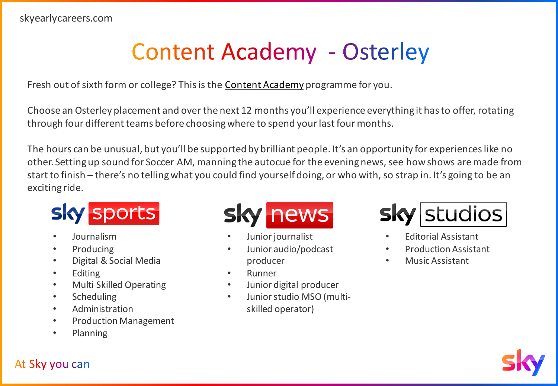## **Content Academy - Osterley**

Fresh out of sixth form or college? This is the [Content Academy](https://bit.ly/3CO31f0) programme for you.

Choose an Osterley placement and over the next 12 months you'll experience everything it has to offer, rotating through four different teams before choosing where to spend your last four months.

The hours can be unusual, but you'll be supported by brilliant people. It's an opportunity for experiences like no other. Setting up sound for Soccer AM, manning the autocue for the evening news, see how shows are made from start to finish – there's no telling what you could find yourself doing, or who with, so strap in. It's going to be an exciting ride.

## **Sky sports**

- Journalism
- Producing
- Digital & Social Media
- **Editing**
- Multi Skilled Operating
- Scheduling
- **Administration**
- Production Management
- Planning



- Junior journalist
- Junior audio/podcast producer
- **Runner**
- Junior digital producer
- Junior studio MSO (multiskilled operator)



- Editorial Assistant
- Production Assistant
- Music Assistant